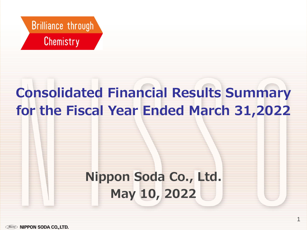

# **Consolidated Financial Results Summary for the Fiscal Year Ended March 31,2022**

# **Nippon Soda Co., Ltd. May 10, 2022**

1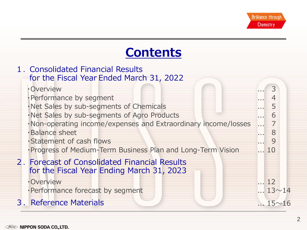# **Contents**

| 1. Consolidated Financial Results<br>for the Fiscal Year Ended March 31, 2022              |                       |
|--------------------------------------------------------------------------------------------|-----------------------|
| <b>•Overview</b>                                                                           | 3                     |
| · Performance by segment                                                                   |                       |
| ·Net Sales by sub-segments of Chemicals                                                    | 5                     |
| · Net Sales by sub-segments of Agro Products                                               | 6                     |
| ·Non-operating income/expenses and Extraordinary income/losses                             | $\overline{7}$        |
| ·Balance sheet                                                                             | 8                     |
| · Statement of cash flows                                                                  | 9                     |
| · Progress of Medium-Term Business Plan and Long-Term Vision                               | 10                    |
| 2. Forecast of Consolidated Financial Results<br>for the Fiscal Year Ending March 31, 2023 |                       |
| ·Overview                                                                                  | $\dots$ 12            |
| · Performance forecast by segment                                                          | $\ldots$ 13 $\sim$ 14 |
| 3. Reference Materials                                                                     | $\ldots$ 15 $\sim$ 16 |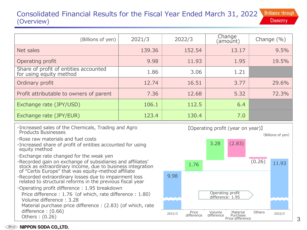## **Brilliance through** Consolidated Financial Results for the Fiscal Year Ended March 31, 2022 **Chemistry** (Overview)

| (Billions of yen)                                                | 2021/3 | 2022/3 | Change<br>(amount) | Change $(\%)$ |
|------------------------------------------------------------------|--------|--------|--------------------|---------------|
| Net sales                                                        | 139.36 | 152.54 | 13.17              | 9.5%          |
| Operating profit                                                 | 9.98   | 11.93  | 1.95               | 19.5%         |
| Share of profit of entities accounted<br>for using equity method | 1.86   | 3.06   | 1.21               |               |
| Ordinary profit                                                  | 12.74  | 16.51  | 3.77               | 29.6%         |
| Profit attributable to owners of parent                          | 7.36   | 12.68  | 5.32               | 72.3%         |
| Exchange rate (JPY/USD)                                          | 106.1  | 112.5  | 6.4                |               |
| Exchange rate (JPY/EUR)                                          | 123.4  | 130.4  | 7.0                |               |

- ・Increased sales of the Chemicals, Trading and Agro Products Businesses
- ・Rose raw materials and fuel costs
- ・Increased share of profit of entities accounted for using equity method
- ・Exchange rate changed for the weak yen
- ・Recorded gain on exchange of subsidiaries and affiliates' stock as extraordinary income, due to business integration of "Certis Europe" that was equity-method affiliate
- ・Recorded extraordinary losses due to impairment loss related to structural reforms in the previous fiscal year
- ・Operating profit difference : 1.95 breakdown

Price difference : 1.76 (of which, rate difference : 1.80) Volume difference : 3.28

Material purchase price difference : (2.83) (of which, rate difference : (0.66)

Others : (0.26)

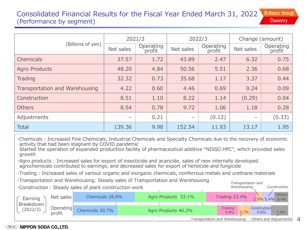### Consolidated Financial Results for the Fiscal Year Ended March 31, 2022 **Brilliance through Chemistry** (Performance by segment)

|                                | 2021/3    |                     | 2022/3    |                     | Change (amount)          |                     |  |
|--------------------------------|-----------|---------------------|-----------|---------------------|--------------------------|---------------------|--|
| (Billions of yen)              | Net sales | Operating<br>profit | Net sales | Operating<br>profit | Net sales                | Operating<br>profit |  |
| Chemicals                      | 37.57     | 1.72                | 43.89     | 2.47                | 6.32                     | 0.75                |  |
| <b>Agro Products</b>           | 48.20     | 4.84                | 50.56     | 5.51                | 2.36                     | 0.68                |  |
| Trading                        | 32.32     | 0.73                | 35.68     | 1.17                | 3.37                     | 0.44                |  |
| Transportation and Warehousing | 4.22      | 0.60                | 4.46      | 0.69                | 0.24                     | 0.09                |  |
| Construction                   | 8.51      | 1.10                | 8.22      | 1.14                | (0.29)                   | 0.04                |  |
| <b>Others</b>                  | 8.54      | 0.78                | 9.72      | 1.06                | 1.18                     | 0.28                |  |
| Adjustments                    |           | 0.21                | -         | (0.12)              | $\overline{\phantom{0}}$ | (0.33)              |  |
| <b>Total</b>                   | 139.36    | 9.98                | 152.54    | 11.93               | 13.17                    | 1.95                |  |

・Chemicals : Increased Fine Chemicals, Industrial Chemicals and Specialty Chemicals due to the recovery of economic activity that had been stagnant by COVID pandemic

Started the operation of expanded production facility of pharmaceutical additive "NISSO HPC", which provided sales growth

・Agro products : Increased sales for export of insecticide and acaricide, sales of new internally developed agrochemicals contributed to earnings, and decreased sales for export of herbicide and fungicide

・Trading : Increased sales of various organic and inorganic chemicals, nonferrous metals and urethane materials

・Transportation and Warehousing: Steady sales of Transportation and Warehousing



*Nisso* **NIPPON SODA CO., LTD.** 

4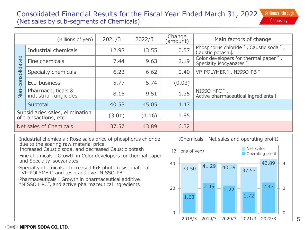### **Brilliance through** Consolidated Financial Results for the Fiscal Year Ended March 31, 2022 **Chemistry** (Net sales by sub-segments of Chemicals)

|                                                          | (Billions of yen)                          | 2021/3 | 2022/3 | Change<br>(amount) | Main factors of change                                                                    |
|----------------------------------------------------------|--------------------------------------------|--------|--------|--------------------|-------------------------------------------------------------------------------------------|
|                                                          | Industrial chemicals                       | 12.98  | 13.55  | 0.57               | Phosphorus chloride $\uparrow$ , Caustic soda $\uparrow$ ,<br>Caustic potash $\downarrow$ |
|                                                          | Fine chemicals                             | 7.44   | 9.63   | 2.19               | Color developers for thermal paper $\uparrow$ ,<br>Specialty isocyanates 1                |
| consolidated                                             | Specialty chemicals                        | 6.23   | 6.62   | 0.40               | VP-POLYMER↑, NISSO-PB↑                                                                    |
| Jon                                                      | Eco-business                               | 5.77   | 5.74   | (0.03)             |                                                                                           |
|                                                          | Pharmaceuticals &<br>industrial fungicides | 8.16   | 9.51   | 1.35               | NISSO HPC 1,<br>Active pharmaceutical ingredients 1                                       |
|                                                          | Subtotal                                   | 40.58  | 45.05  | 4.47               |                                                                                           |
| Subsidiaries sales, elimination<br>of transactions, etc. |                                            | (3.01) | (1.16) | 1.85               |                                                                                           |
| Net sales of Chemicals                                   |                                            | 37.57  | 43.89  | 6.32               |                                                                                           |

- ・Industrial chemicals : Rose sales price of phosphorus chloride due to the soaring raw material price Increased Caustic soda, and decreased Caustic potash
- ・Fine chemicals : Growth in Color developers for thermal paper and Specialty isocyanates
- ・Specialty chemicals : Increased KrF photo resist material "VP-POLYMER" and resin additive "NISSO-PB"
- ・Pharmaceuticals : Growth in pharmaceutical additive "NISSO HPC", and active pharmaceutical ingredients

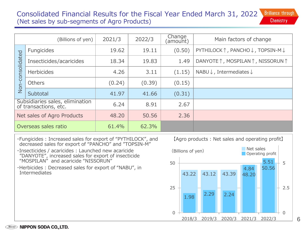### **Brilliance through** Consolidated Financial Results for the Fiscal Year Ended March 31, 2022 (Net sales by sub-segments of Agro Products) **Chemistry**

|                            | (Billions of yen)                                        | 2021/3 | 2022/3 | Change<br>(amount) | Main factors of change                         |
|----------------------------|----------------------------------------------------------|--------|--------|--------------------|------------------------------------------------|
|                            | Fungicides                                               | 19.62  | 19.11  | (0.50)             | PYTHILOCK↑, PANCHO↓, TOPSIN-M↓                 |
|                            | Insecticides/acaricides                                  | 18.34  | 19.83  | 1.49               | DANYOTE ↑, MOSPILAN ↑, NISSORUN ↑              |
| Non-consolidated           | <b>Herbicides</b>                                        | 4.26   | 3.11   | (1.15)             | NABU $\downarrow$ , Intermediates $\downarrow$ |
|                            | <b>Others</b>                                            | (0.24) | (0.39) | (0.15)             |                                                |
|                            | Subtotal                                                 | 41.97  | 41.66  | (0.31)             |                                                |
|                            | Subsidiaries sales, elimination<br>of transactions, etc. | 6.24   | 8.91   | 2.67               |                                                |
| Net sales of Agro Products |                                                          | 48,20  | 50.56  | 2.36               |                                                |
| Overseas sales ratio       |                                                          | 61.4%  | 62.3%  |                    |                                                |

- ・Fungicides : Increased sales for export of "PYTHILOCK", and decreased sales for export of "PANCHO" and "TOPSIN-M"
- ・Insecticides / acaricides : Launched new acaricide "DANYOTE", increased sales for export of insecticide "MOSPILAN" and acaricide "NISSORUN"
- ・Herbicides : Decreased sales for export of "NABU", in Intermediates

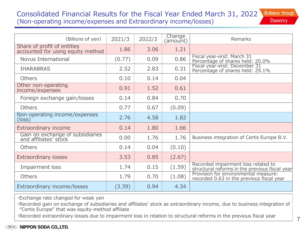## Consolidated Financial Results for the Fiscal Year Ended March 31, 2022 **Brilliance through** (Non-operating income/expenses and Extraordinary income/losses)

| <b>Chemistry</b> |  |  |
|------------------|--|--|
|                  |  |  |

| (Billions of yen)                                                | 2021/3 | 2022/3 | Change<br>(amount) | Remarks                                                                               |
|------------------------------------------------------------------|--------|--------|--------------------|---------------------------------------------------------------------------------------|
| Share of profit of entities<br>accounted for using equity method | 1.86   | 3.06   | 1.21               |                                                                                       |
| Novus International                                              | (0.77) | 0.09   | 0.86               | Fiscal year-end: March 31<br>Percentage of shares held: 20.0%                         |
| <b>IHARABRAS</b>                                                 | 2.52   | 2.83   | 0.31               | Fiscal year-end: December 31<br>Percentage of shares held: 29.1%                      |
| <b>Others</b>                                                    | 0.10   | 0.14   | 0.04               |                                                                                       |
| Other non-operating<br>income/expenses                           | 0.91   | 1.52   | 0.61               |                                                                                       |
| Foreign exchange gain/losses                                     | 0.14   | 0.84   | 0.70               |                                                                                       |
| <b>Others</b>                                                    | 0.77   | 0.67   | (0.09)             |                                                                                       |
| Non-operating income/expenses<br>(loss)                          | 2.76   | 4.58   | 1.82               |                                                                                       |
| Extraordinary income                                             | 0.14   | 1.80   | 1.66               |                                                                                       |
| Gain on exchange of subsidiaries<br>and affiliates' stock        | 0.00   | 1.76   | 1.76               | Business integration of Certis Europe B.V.                                            |
| <b>Others</b>                                                    | 0.14   | 0.04   | (0.10)             |                                                                                       |
| <b>Extraordinary losses</b>                                      | 3.53   | 0.85   | (2.67)             |                                                                                       |
| Impairment loss                                                  | 1.74   | 0.15   | (1.59)             | Recorded impairment loss related to<br>structural reforms in the previous fiscal year |
| <b>Others</b>                                                    | 1.79   | 0.70   | (1.08)             | Provision for environmental measure:<br>recorded 0.63 in the previous fiscal year     |
| Extraordinary income/losses                                      | (3.39) | 0.94   | 4.34               |                                                                                       |

・Exchange rate changed for weak yen

・Recorded gain on exchange of subsidiaries and affiliates' stock as extraordinary income, due to business integration of "Certis Europe" that was equity-method affiliate

・Recorded extraordinary losses due to impairment loss in relation to structural reforms in the previous fiscal year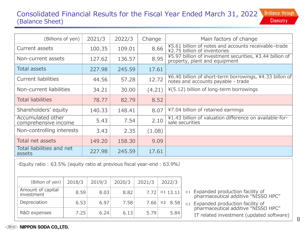## Consolidated Financial Results for the Fiscal Year Ended March 31, 2022 **Brilliance through** (Balance Sheet) **Chemistry**

| (Billions of yen)                         | 2021/3 | 2022/3 | Change | Main factors of change                                                                        |
|-------------------------------------------|--------|--------|--------|-----------------------------------------------------------------------------------------------|
| Current assets                            | 100.35 | 109.01 | 8.66   | ¥5.61 billion of notes and accounts receivable-trade<br>¥2.75 billion of inventories          |
| Non-current assets                        | 127.62 | 136.57 | 8.95   | ¥5.97 billion of investment securities, ¥3.44 billion of<br>property, plant and equipment     |
| <b>Total assets</b>                       | 227.98 | 245.59 | 17.61  |                                                                                               |
| <b>Current liabilities</b>                | 44.56  | 57.28  | 12.72  | ¥6.40 billion of short-term borrowings, ¥4.33 billon of<br>notes and accounts payable - trade |
| Non-current liabilities                   | 34.21  | 30.00  | (4.21) | ¥(5.12) billion of long-term borrowings                                                       |
| <b>Total liabilities</b>                  | 78.77  | 82.79  | 8.52   |                                                                                               |
| Shareholders' equity                      | 140.33 | 148.41 | 8.07   | ¥7.04 billion of retained earnings                                                            |
| Accumulated other<br>comprehensive income | 5.43   | 7.54   | 2.10   | ¥1.43 billion of valuation difference on available-for-<br>sale securities                    |
| Non-controlling interests                 | 3.43   | 2.35   | (1.08) |                                                                                               |
| Total net assets                          | 149.20 | 158,30 | 9.09   |                                                                                               |
| Total liabilities and net<br>assets       | 227.98 | 245.59 | 17.61  |                                                                                               |

・Equity ratio : 63.5% (equity ratio at previous fiscal year-end : 63.9%)

| (Billion of yen)                | 2018/3 | 2019/3 | 2020/3 | 2021/3 | 2022/3             |
|---------------------------------|--------|--------|--------|--------|--------------------|
| Amount of capital<br>investment | 8.59   | 8.03   | 8.82   | 7.72   | ※1 13.11           |
| Depreciation                    | 6.53   | 6.97   | 7.58   | 7.66   | $\frac{1}{2}$ 8.58 |
| R&D expenses                    | 7.25   | 6.24   | 6.13   | 5.79   | 5.84               |

- $\left[\times1\right]$  13.11  $\left[\times1\right]$  Expanded production facility of pharmaceutical additive "NISSO HPC"
- $\frac{1}{2}$  8.58  $\frac{1}{2}$  Expanded production facility of pharmaceutical additive "NISSO HPC" IT related investment (updated software)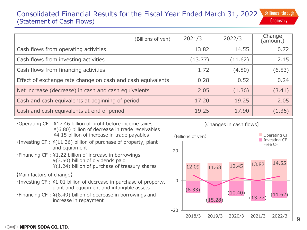### **Brilliance through** Consolidated Financial Results for the Fiscal Year Ended March 31, 2022 **Chemistry** (Statement of Cash Flows)

| (Billions of yen)                                           | 2021/3  | 2022/3  | Change<br>(amount) |
|-------------------------------------------------------------|---------|---------|--------------------|
| Cash flows from operating activities                        | 13.82   | 14.55   | 0.72               |
| Cash flows from investing activities                        | (13.77) | (11.62) | 2.15               |
| Cash flows from financing activities                        | 1.72    | (4.80)  | (6.53)             |
| Effect of exchange rate change on cash and cash equivalents | 0.28    | 0.52    | 0.24               |
| Net increase (decrease) in cash and cash equivalents        | 2.05    | (1.36)  | (3.41)             |
| Cash and cash equivalents at beginning of period            | 17.20   | 19.25   | 2.05               |
| Cash and cash equivalents at end of period                  | 19.25   | 17.90   | (1.36)             |

- ・Operating CF : ¥17.46 billion of profit before income taxes ¥(6.80) billion of decrease in trade receivables ¥4.15 billion of increase in trade payables
- ・Investing CF : ¥(11.36) billion of purchase of property, plant and equipment
- ・Financing CF : ¥1.22 billion of increase in borrowings ¥(3.50) billion of dividends paid ¥(1.24) billion of purchase of treasury shares

【Main factors of change】

- ・Investing CF : ¥1.01 billion of decrease in purchase of property, plant and equipment and intangible assets
- ・Financing CF : ¥(8.49) billion of decrease in borrowings and increase in repayment

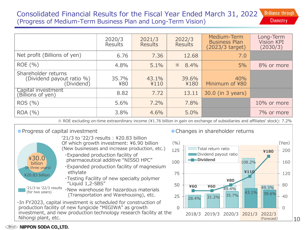### **Brilliance through** Consolidated Financial Results for the Fiscal Year Ended March 31, 2022 (Progress of Medium-Term Business Plan and Long-Term Vision) **Chemistry**

|                                                                | 2020/3<br>Results | 2021/3<br><b>Results</b> | 2022/3<br><b>Results</b> | Medium-Term<br><b>Business Plan</b><br>(2023/3 target) | Long-Term<br>Vision KPI<br>(2030/3) |
|----------------------------------------------------------------|-------------------|--------------------------|--------------------------|--------------------------------------------------------|-------------------------------------|
| Net profit (Billions of yen)                                   | 6.76              | 7.36                     | 12.68                    | 7.0                                                    |                                     |
| ROE(% )                                                        | 4.8%              | 5.1%                     | $\frac{1}{2}$ 8.4%       | 5%                                                     | 8% or more                          |
| Shareholder returns<br>(Dividend payout ratio %)<br>(Dividend) | 35.7%<br>¥80      | 43.1%<br>¥110            | 39.6%<br>¥180            | 40%<br>Minimum of ¥80                                  |                                     |
| Capital investment<br>(Billions of yen)                        | 8.82              | 7.72                     | 13.11                    | 30.0 (in 3 years)                                      |                                     |
| ROS(% )                                                        | 5.6%              | 7.2%                     | 7.8%                     |                                                        | 10% or more                         |
| ROA (%)                                                        | 3.8%              | 4.6%                     | 5.0%                     |                                                        | 7% or more                          |

※ ROE excluding on-time extraordinary income (¥1.76 billion in gain on exchange of subsidiaries and affiliates' stock): 7.2%



# ● Changes in shareholder returns



#### **NIPPON SODA CO., LTD.**  $\bigtriangleup$ isso $\bigtriangleup$

Nihongi plant, etc.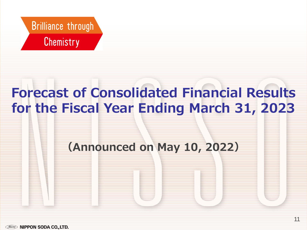

# **Forecast of Consolidated Financial Results for the Fiscal Year Ending March 31, 2023**

# **(Announced on May 10, 2022)**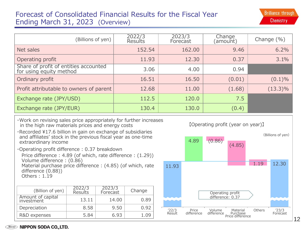# Forecast of Consolidated Financial Results for the Fiscal Year Ending March 31, 2023 (Overview)

| (Billions of yen)                                                | 2022/3<br>Results | 2023/3<br>Forecast | Change<br>(amount) | Change $(\% )$ |
|------------------------------------------------------------------|-------------------|--------------------|--------------------|----------------|
| Net sales                                                        | 152.54            | 162.00             | 9.46               | 6.2%           |
| Operating profit                                                 | 11.93             | 12.30              | 0.37               | 3.1%           |
| Share of profit of entities accounted<br>for using equity method | 3.06              | 4.00               | 0.94               |                |
| Ordinary profit                                                  | 16.51             | 16.50              | (0.01)             | $(0.1)\%$      |
| Profit attributable to owners of parent                          | 12.68             | 11.00              | (1.68)             | $(13.3)\%$     |
| Exchange rate (JPY/USD)                                          | 112.5             | 120.0              | 7.5                |                |
| Exchange rate (JPY/EUR)                                          | 130.4             | 130.0              | (0.4)              |                |

- ・Work on revising sales price appropriately for further increases in the high raw materials prices and energy costs
- ・Recorded ¥17.6 billion in gain on exchange of subsidiaries and affiliates' stock in the previous fiscal year as one-time extraordinary income

・Operating profit difference : 0.37 breakdown

Price difference : 4.89 (of which, rate difference : (1.29)) Volume difference : (0.86) Material purchase price difference : (4.85) (of which, rate difference (0.88))

Others : 1.19

| (Billion of yen)                | 2022/3<br>Results | 2023/3<br>Forecast | Change |
|---------------------------------|-------------------|--------------------|--------|
| Amount of capital<br>investment | 13.11             | 14.00              | 0.89   |
| Depreciation                    | 8.58              | 9.50               | 0.92   |
| R&D expenses                    | 5.84              | 6.93               |        |

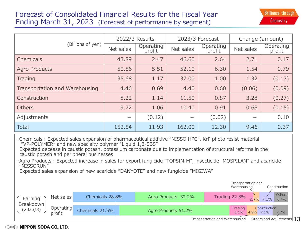# Forecast of Consolidated Financial Results for the Fiscal Year Ending March 31, 2023 (Forecast of performance by segment)

|                                |           | 2022/3 Results      |           | 2023/3 Forecast     | Change (amount)          |                     |  |
|--------------------------------|-----------|---------------------|-----------|---------------------|--------------------------|---------------------|--|
| (Billions of yen)              | Net sales | Operating<br>profit | Net sales | Operating<br>profit |                          | Operating<br>profit |  |
| <b>Chemicals</b>               | 43.89     | 2.47                | 46.60     | 2.64                | 2.71                     | 0.17                |  |
| <b>Agro Products</b>           | 50.56     | 5.51                | 52.10     | 6.30                | 1.54                     | 0.79                |  |
| Trading                        | 35.68     | 1.17                | 37.00     | 1.00                | 1.32                     | (0.17)              |  |
| Transportation and Warehousing | 4.46      | 0.69                | 4.40      | 0.60                | (0.06)                   | (0.09)              |  |
| Construction                   | 8.22      | 1.14                | 11.50     | 0.87                | 3.28                     | (0.27)              |  |
| <b>Others</b>                  | 9.72      | 1.06                | 10.40     | 0.91                | 0.68                     | (0.15)              |  |
| Adjustments                    |           | (0.12)              |           | (0.02)              | $\overline{\phantom{0}}$ | 0.10                |  |
| <b>Total</b>                   | 152.54    | 11.93               | 162.00    | 12.30               | 9.46                     | 0.37                |  |

・Chemicals : Expected sales expansion of pharmaceutical additive "NISSO HPC", KrF photo resist material "VP-POLYMER" and new specialty polymer "Liquid 1,2-SBS"

Expected decease in caustic potash, potassium carbonate due to implementation of structural reforms in the caustic potash and peripheral businesses

・Agro Products : Expected increase in sales for export fungicide "TOPSIN-M", insecticide "MOSPILAN" and acaricide "NISSORUN"

Expected sales expansion of new acaricide "DANYOTE" and new fungicide "MIGIWA"



## **Wisso NIPPON SODA CO., LTD.**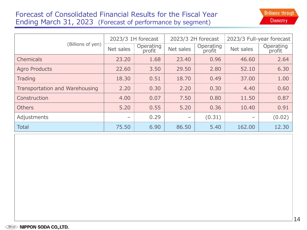# Forecast of Consolidated Financial Results for the Fiscal Year Ending March 31, 2023 (Forecast of performance by segment)

|                                |                          | 2023/3 1H forecast                                      | 2023/3 2H forecast |           | 2023/3 Full-year forecast |        |  |  |
|--------------------------------|--------------------------|---------------------------------------------------------|--------------------|-----------|---------------------------|--------|--|--|
| (Billions of yen)              | Net sales                | Operating<br>Operating<br>Net sales<br>profit<br>profit |                    | Net sales | Operating<br>profit       |        |  |  |
| Chemicals                      | 23.20                    | 1.68                                                    | 23.40              | 0.96      | 46,60                     | 2.64   |  |  |
| <b>Agro Products</b>           | 22.60                    | 3.50                                                    | 29.50              | 2.80      | 52.10                     | 6.30   |  |  |
| Trading                        | 18.30                    | 0.51                                                    | 18.70              | 0.49      | 37,00                     | 1.00   |  |  |
| Transportation and Warehousing | 2.20                     | 0.30                                                    | 2.20               | 0.30      | 4.40                      | 0.60   |  |  |
| Construction                   | 4.00                     | 0.07                                                    | 7.50               | 0.80      | 11.50                     | 0.87   |  |  |
| <b>Others</b>                  | 5.20                     | 0.55                                                    | 5.20               | 0.36      | 10.40                     | 0.91   |  |  |
| Adjustments                    | $\overline{\phantom{m}}$ | 0.29                                                    | $\qquad \qquad$    | (0.31)    | $\qquad \qquad -$         | (0.02) |  |  |
| <b>Total</b>                   | 75.50                    | 6.90                                                    | 86.50              | 5.40      | 162.00                    | 12.30  |  |  |

【収益構成】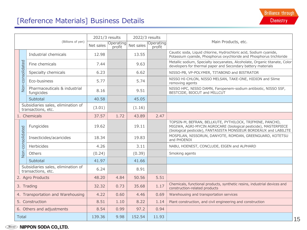# [Reference Materials] Business Details

| (Billions of yen)                 |                  |                                                          | 2021/3 results<br>2022/3 results |           |                     |                                                                                                           |                                                                                                                                                                                                  |  |
|-----------------------------------|------------------|----------------------------------------------------------|----------------------------------|-----------|---------------------|-----------------------------------------------------------------------------------------------------------|--------------------------------------------------------------------------------------------------------------------------------------------------------------------------------------------------|--|
|                                   |                  | Net sales                                                | Operating<br>profit              | Net sales | Operating<br>profit | Main Products, etc.                                                                                       |                                                                                                                                                                                                  |  |
|                                   |                  | Industrial chemicals                                     | 12.98                            |           | 13.55               |                                                                                                           | Caustic soda, Liquid chlorine, Hydrochloric acid, Sodium cyanide,<br>Potassium cyanide, Phosphorus oxychloride and Phosphorus trichloride                                                        |  |
|                                   |                  | Fine chemicals                                           | 7.44                             |           | 9.63                |                                                                                                           | Metallic sodium, Specialty isocyanates, Alcoholate, Organic titanate, Color<br>developers for thermal paper and Secondary battery materials                                                      |  |
|                                   |                  | Specialty chemicals                                      | 6.23                             |           | 6.62                |                                                                                                           | NISSO-PB, VP-POLYMER, TITABOND and BISTRATOR                                                                                                                                                     |  |
|                                   | Non-consolidated | Eco-business                                             | 5.77                             |           | 5.74                |                                                                                                           | NISSO HI-CHLON, NISSO MELSAN, TAKE-ONE, HIDION and Slime<br>removing agents                                                                                                                      |  |
|                                   |                  | Pharmaceuticals & industrial<br>fungicides               | 8.16                             |           | 9.51                |                                                                                                           | NISSO HPC, NISSO DAMN, Faropenem-sodium antibiotic, NISSO SSF,<br>BESTCIDE, BIOCUT and MILLCUT                                                                                                   |  |
|                                   |                  | Subtotal                                                 | 40.58                            |           | 45.05               |                                                                                                           |                                                                                                                                                                                                  |  |
|                                   |                  | Subsidiaries sales, elimination of<br>transactions, etc. | (3.01)                           |           | (1.16)              |                                                                                                           |                                                                                                                                                                                                  |  |
|                                   |                  | 1. Chemicals                                             | 37.57                            | 1.72      | 43.89               | 2.47                                                                                                      |                                                                                                                                                                                                  |  |
|                                   |                  | Fungicides                                               | 19.62                            |           | 19.11               |                                                                                                           | TOPSIN-M, BEFRAN, BELLKUTE, PYTHILOCK, TRIFMINE, PANCHO,<br>MIGIWA, AGRI-MYCIN AGROCARE (biological pesticide), MASTERPIECE<br>(biological pesticide), FANTASISTA MONSIEUR BORDEAUX and LABILITE |  |
|                                   | Non-consolidated | Insecticides/acaricides                                  | 18.34                            |           | 19.83               |                                                                                                           | MOSPILAN, NISSORUN, DANYOTE, ROMDAN, GREENGUARD, KOTETSU<br>and PHOENIX                                                                                                                          |  |
|                                   |                  | Herbicides                                               | 4.26                             |           | 3.11                |                                                                                                           | NABU, HOENEST, CONCLUDE, EIGEN and ALPHARD                                                                                                                                                       |  |
|                                   |                  | <b>Others</b>                                            | (0.24)                           |           | (0.39)              |                                                                                                           | Smoking agents                                                                                                                                                                                   |  |
|                                   |                  | Subtotal                                                 | 41.97                            |           | 41.66               |                                                                                                           |                                                                                                                                                                                                  |  |
|                                   |                  | Subsidiaries sales, elimination of<br>transactions, etc. | 6.24                             |           | 8.91                |                                                                                                           |                                                                                                                                                                                                  |  |
|                                   |                  | 2. Agro Products                                         | 48.20                            | 4.84      | 50.56               | 5.51                                                                                                      |                                                                                                                                                                                                  |  |
| 3. Trading                        |                  | 32.32                                                    | 0.73                             | 35.68     | 1.17                | Chemicals, functional products, synthetic resins, industrial devices and<br>construction-related products |                                                                                                                                                                                                  |  |
| 4. Transportation and Warehousing |                  | 4.22                                                     | 0.60                             | 4.46      | 0.69                | Warehousing and transportation services                                                                   |                                                                                                                                                                                                  |  |
| 5. Construction                   |                  | 8.51                                                     | 1.10                             | 8.22      | 1.14                | Plant construction, and civil engineering and construction                                                |                                                                                                                                                                                                  |  |
|                                   |                  | 6. Others and adjustments                                | 8.54                             | 0.99      | 97.2                | 0.94                                                                                                      |                                                                                                                                                                                                  |  |
| <b>Total</b>                      |                  | 139.36                                                   | 9.98                             | 152.54    | 11.93               |                                                                                                           |                                                                                                                                                                                                  |  |

## *Nisso* **NIPPON SODA CO., LTD.**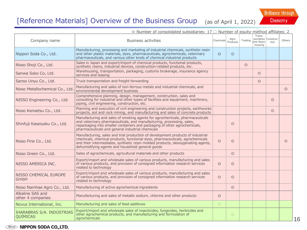# [Reference Materials] Overview of the Business Group (as of April 1, 2022)

**Brilliance through** Chemistry

| $\circledcirc$ Number of consolidated subsidiaries: 17 $\circlearrowright$ Number of equity-method affiliates: 2 |                                                                                                                                                                                                                                                                                                         |                |                  |                |                                                       |                |                |  |
|------------------------------------------------------------------------------------------------------------------|---------------------------------------------------------------------------------------------------------------------------------------------------------------------------------------------------------------------------------------------------------------------------------------------------------|----------------|------------------|----------------|-------------------------------------------------------|----------------|----------------|--|
| Company name                                                                                                     | <b>Business activities</b>                                                                                                                                                                                                                                                                              | Chemicals      | Agro<br>Products | Trading        | Trans-<br>portation Construc-<br>and Ware-<br>housing | tion           | Others         |  |
| Nippon Soda Co., Ltd.                                                                                            | Manufacturing, processing and marketing of industrial chemicals, synthetic resin<br>and other plastic materials, dyes, pharmaceuticals, agrochemicals, veterinary<br>pharmaceuticals, and various other kinds of chemical industrial products                                                           | $\circledcirc$ | $\circledcirc$   |                |                                                       |                |                |  |
| Nisso Shoji Co., Ltd.                                                                                            | Sales in Japan and export/import of chemical products, functional products,<br>synthetic resins, industrial devices, construction-related products, etc.                                                                                                                                                |                |                  | $\circledcirc$ |                                                       |                |                |  |
| Sanwa Soko Co, Ltd.                                                                                              | Warehousing, transportation, packaging, customs brokerage, insurance agency<br>services and leasing                                                                                                                                                                                                     |                |                  |                | $\circledcirc$                                        |                |                |  |
| Sanso Unyu Co., Ltd.                                                                                             | Truck transportation and freight forwarding                                                                                                                                                                                                                                                             |                |                  |                | $\circledcirc$                                        |                |                |  |
| Nisso Metallochemical Co., Ltd.                                                                                  | Manufacturing and sales of non-ferrous metals and industrial chemicals, and<br>environmental development business                                                                                                                                                                                       |                |                  |                |                                                       |                | $\circledcirc$ |  |
| NISSO Engineering Co., Ltd.                                                                                      | Comprehensive planning, design, management, construction, sales and<br>consulting for industrial and other types of facilities and equipment, machinery,<br>piping, civil engineering, construction, etc.                                                                                               |                |                  |                |                                                       | $\circledcirc$ |                |  |
| Nisso Kensetsu Co., Ltd.                                                                                         | Planning and execution of civil engineering and construction projects, earthworks<br>projects, soil and rock mining, and manufacturing and sales of concrete products                                                                                                                                   |                |                  |                |                                                       | $\circledcirc$ |                |  |
| Shinfuji Kaseiyaku Co., Ltd.                                                                                     | Manufacturing and sales of smoking agents for agrochemicals, pharmaceuticals<br>and veterinary pharmaceuticals, and manufacturing, processing, sales,<br>repackaging into smaller containers and packaging of other agrochemicals,<br>pharmaceuticals and general industrial chemicals                  |                | $\circledcirc$   |                |                                                       |                |                |  |
| Nisso Fine Co., Ltd.                                                                                             | Manufacturing, sales and trial production of development products of industrial<br>chemicals, chemical products, functional dyes, pharmaceuticals, agrochemicals<br>and their intermediates, synthetic resin molded products, deoxygenating agents,<br>dehumidifying agents and household general goods | $\circledcirc$ | $\circledcirc$   |                |                                                       |                | $\circledcirc$ |  |
| Nisso Green Co., Ltd.                                                                                            | Sales of agrochemicals, agricultural materials and other products                                                                                                                                                                                                                                       |                | $\circledcirc$   |                |                                                       |                |                |  |
| NISSO AMERICA INC.                                                                                               | Export/import and wholesale sales of various products, manufacturing and sales<br>of various products, and provision of consigned information research services<br>related to technology                                                                                                                | $\circledcirc$ | $\circledcirc$   |                |                                                       |                |                |  |
| NISSO CHEMICAL EUROPE<br>GmbH                                                                                    | Export/import and wholesale sales of various products, manufacturing and sales<br>of various products, and provision of consigned information research services<br>related to technology                                                                                                                | $\circledcirc$ | $\circledcirc$   |                |                                                       |                |                |  |
| Nisso Namhae Agro Co., Ltd.                                                                                      | Manufacturing of active agrochemical ingredients                                                                                                                                                                                                                                                        |                | $\circledcirc$   |                |                                                       |                |                |  |
| Alkaline SAS and<br>other 4 companies                                                                            | Manufacturing and sales of metallic sodium, chlorine and other products                                                                                                                                                                                                                                 | $\circledcirc$ |                  |                |                                                       |                |                |  |
| Novus International, Inc.                                                                                        | Manufacturing and sales of feed additives                                                                                                                                                                                                                                                               | $\bigcirc$     |                  |                |                                                       |                |                |  |
| IHARABRAS S/A. INDÚSTRIAS<br><b>QUÍMICAS</b>                                                                     | Export/import and wholesale sales of insecticides, fungicides, herbicides and<br>other agrochemical products, and manufacturing and formulation of<br>agrochemicals                                                                                                                                     |                | $\bigcirc$       |                |                                                       |                |                |  |

## *Nisso* **NIPPON SODA CO., LTD.**